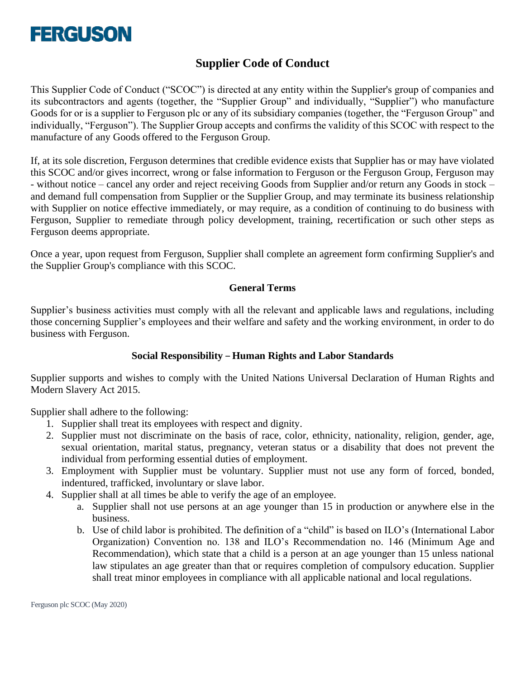

# **Supplier Code of Conduct**

This Supplier Code of Conduct ("SCOC") is directed at any entity within the Supplier's group of companies and its subcontractors and agents (together, the "Supplier Group" and individually, "Supplier") who manufacture Goods for or is a supplier to Ferguson plc or any of its subsidiary companies (together, the "Ferguson Group" and individually, "Ferguson"). The Supplier Group accepts and confirms the validity of this SCOC with respect to the manufacture of any Goods offered to the Ferguson Group.

If, at its sole discretion, Ferguson determines that credible evidence exists that Supplier has or may have violated this SCOC and/or gives incorrect, wrong or false information to Ferguson or the Ferguson Group, Ferguson may - without notice – cancel any order and reject receiving Goods from Supplier and/or return any Goods in stock – and demand full compensation from Supplier or the Supplier Group, and may terminate its business relationship with Supplier on notice effective immediately, or may require, as a condition of continuing to do business with Ferguson, Supplier to remediate through policy development, training, recertification or such other steps as Ferguson deems appropriate.

Once a year, upon request from Ferguson, Supplier shall complete an agreement form confirming Supplier's and the Supplier Group's compliance with this SCOC.

### **General Terms**

Supplier's business activities must comply with all the relevant and applicable laws and regulations, including those concerning Supplier's employees and their welfare and safety and the working environment, in order to do business with Ferguson.

### **Social Responsibility – Human Rights and Labor Standards**

Supplier supports and wishes to comply with the United Nations Universal Declaration of Human Rights and Modern Slavery Act 2015.

Supplier shall adhere to the following:

- 1. Supplier shall treat its employees with respect and dignity.
- 2. Supplier must not discriminate on the basis of race, color, ethnicity, nationality, religion, gender, age, sexual orientation, marital status, pregnancy, veteran status or a disability that does not prevent the individual from performing essential duties of employment.
- 3. Employment with Supplier must be voluntary. Supplier must not use any form of forced, bonded, indentured, trafficked, involuntary or slave labor.
- 4. Supplier shall at all times be able to verify the age of an employee.
	- a. Supplier shall not use persons at an age younger than 15 in production or anywhere else in the business.
	- b. Use of child labor is prohibited. The definition of a "child" is based on ILO's (International Labor Organization) Convention no. 138 and ILO's Recommendation no. 146 (Minimum Age and Recommendation), which state that a child is a person at an age younger than 15 unless national law stipulates an age greater than that or requires completion of compulsory education. Supplier shall treat minor employees in compliance with all applicable national and local regulations.

Ferguson plc SCOC (May 2020)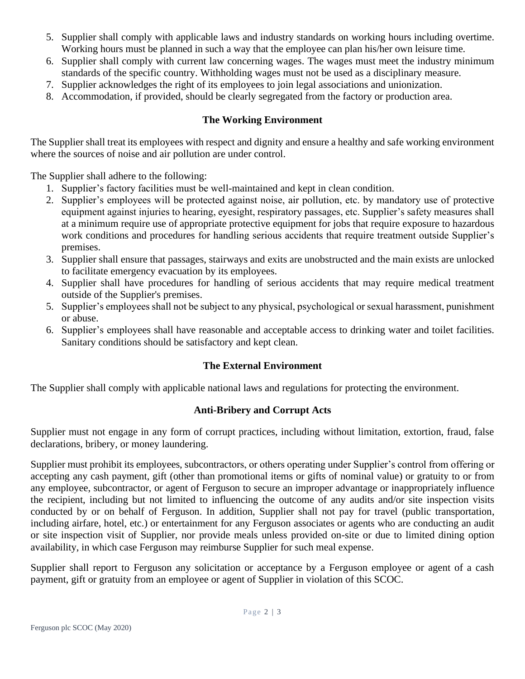- 5. Supplier shall comply with applicable laws and industry standards on working hours including overtime. Working hours must be planned in such a way that the employee can plan his/her own leisure time.
- 6. Supplier shall comply with current law concerning wages. The wages must meet the industry minimum standards of the specific country. Withholding wages must not be used as a disciplinary measure.
- 7. Supplier acknowledges the right of its employees to join legal associations and unionization.
- 8. Accommodation, if provided, should be clearly segregated from the factory or production area.

### **The Working Environment**

The Supplier shall treat its employees with respect and dignity and ensure a healthy and safe working environment where the sources of noise and air pollution are under control.

The Supplier shall adhere to the following:

- 1. Supplier's factory facilities must be well-maintained and kept in clean condition.
- 2. Supplier's employees will be protected against noise, air pollution, etc. by mandatory use of protective equipment against injuries to hearing, eyesight, respiratory passages, etc. Supplier's safety measures shall at a minimum require use of appropriate protective equipment for jobs that require exposure to hazardous work conditions and procedures for handling serious accidents that require treatment outside Supplier's premises.
- 3. Supplier shall ensure that passages, stairways and exits are unobstructed and the main exists are unlocked to facilitate emergency evacuation by its employees.
- 4. Supplier shall have procedures for handling of serious accidents that may require medical treatment outside of the Supplier's premises.
- 5. Supplier's employees shall not be subject to any physical, psychological or sexual harassment, punishment or abuse.
- 6. Supplier's employees shall have reasonable and acceptable access to drinking water and toilet facilities. Sanitary conditions should be satisfactory and kept clean.

### **The External Environment**

The Supplier shall comply with applicable national laws and regulations for protecting the environment.

### **Anti-Bribery and Corrupt Acts**

Supplier must not engage in any form of corrupt practices, including without limitation, extortion, fraud, false declarations, bribery, or money laundering.

Supplier must prohibit its employees, subcontractors, or others operating under Supplier's control from offering or accepting any cash payment, gift (other than promotional items or gifts of nominal value) or gratuity to or from any employee, subcontractor, or agent of Ferguson to secure an improper advantage or inappropriately influence the recipient, including but not limited to influencing the outcome of any audits and/or site inspection visits conducted by or on behalf of Ferguson. In addition, Supplier shall not pay for travel (public transportation, including airfare, hotel, etc.) or entertainment for any Ferguson associates or agents who are conducting an audit or site inspection visit of Supplier, nor provide meals unless provided on-site or due to limited dining option availability, in which case Ferguson may reimburse Supplier for such meal expense.

Supplier shall report to Ferguson any solicitation or acceptance by a Ferguson employee or agent of a cash payment, gift or gratuity from an employee or agent of Supplier in violation of this SCOC.